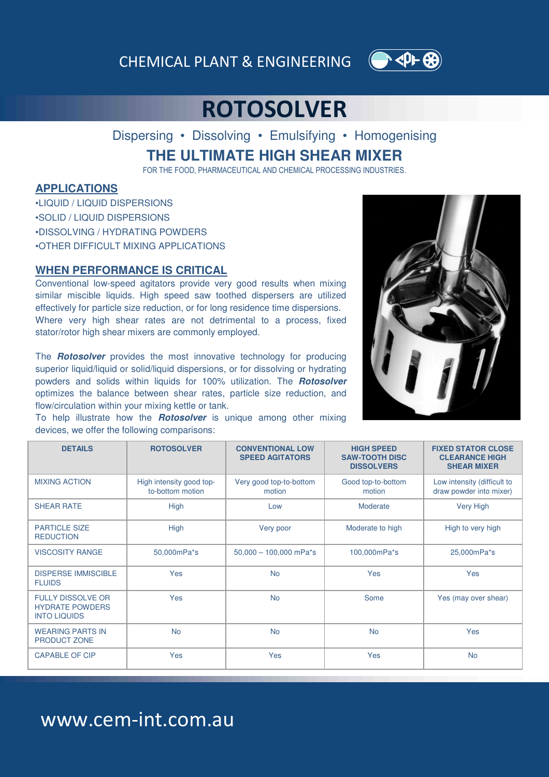CHEMICAL PLANT & ENGINEERING



## **ROTOSOLVER**

Dispersing • Dissolving • Emulsifying • Homogenising **THE ULTIMATE HIGH SHEAR MIXER**

FOR THE FOOD, PHARMACEUTICAL AND CHEMICAL PROCESSING INDUSTRIES.

### **APPLICATIONS**

- •LIQUID / LIQUID DISPERSIONS
- •SOLID / LIQUID DISPERSIONS
- •DISSOLVING / HYDRATING POWDERS
- •OTHER DIFFICULT MIXING APPLICATIONS

#### **WHEN PERFORMANCE IS CRITICAL**

Conventional low-speed agitators provide very good results when mixing similar miscible liquids. High speed saw toothed dispersers are utilized effectively for particle size reduction, or for long residence time dispersions. Where very high shear rates are not detrimental to a process, fixed stator/rotor high shear mixers are commonly employed.

The **Rotosolver** provides the most innovative technology for producing superior liquid/liquid or solid/liquid dispersions, or for dissolving or hydrating powders and solids within liquids for 100% utilization. The **Rotosolver** optimizes the balance between shear rates, particle size reduction, and flow/circulation within your mixing kettle or tank.

To help illustrate how the **Rotosolver** is unique among other mixing devices, we offer the following comparisons:



| <b>DETAILS</b>                                                            | <b>ROTOSOLVER</b>                            | <b>CONVENTIONAL LOW</b><br><b>SPEED AGITATORS</b> | <b>HIGH SPEED</b><br><b>SAW-TOOTH DISC</b><br><b>DISSOLVERS</b> | <b>FIXED STATOR CLOSE</b><br><b>CLEARANCE HIGH</b><br><b>SHEAR MIXER</b> |
|---------------------------------------------------------------------------|----------------------------------------------|---------------------------------------------------|-----------------------------------------------------------------|--------------------------------------------------------------------------|
| <b>MIXING ACTION</b>                                                      | High intensity good top-<br>to-bottom motion | Very good top-to-bottom<br>motion                 | Good top-to-bottom<br>motion                                    | Low intensity (difficult to<br>draw powder into mixer)                   |
| <b>SHEAR RATE</b>                                                         | High                                         | Low                                               | Moderate                                                        | <b>Very High</b>                                                         |
| <b>PARTICLE SIZE</b><br><b>REDUCTION</b>                                  | High                                         | Very poor                                         | Moderate to high                                                | High to very high                                                        |
| <b>VISCOSITY RANGE</b>                                                    | 50,000mPa*s                                  | $50,000 - 100,000$ mPa*s                          | 100,000mPa*s                                                    | 25,000mPa*s                                                              |
| <b>DISPERSE IMMISCIBLE</b><br><b>FLUIDS</b>                               | Yes                                          | <b>No</b>                                         | Yes                                                             | Yes                                                                      |
| <b>FULLY DISSOLVE OR</b><br><b>HYDRATE POWDERS</b><br><b>INTO LIQUIDS</b> | Yes                                          | <b>No</b>                                         | Some                                                            | Yes (may over shear)                                                     |
| <b>WEARING PARTS IN</b><br><b>PRODUCT ZONE</b>                            | <b>No</b>                                    | <b>No</b>                                         | <b>No</b>                                                       | Yes                                                                      |
| <b>CAPABLE OF CIP</b>                                                     | Yes                                          | Yes                                               | Yes                                                             | <b>No</b>                                                                |

### www.cem-int.com.au